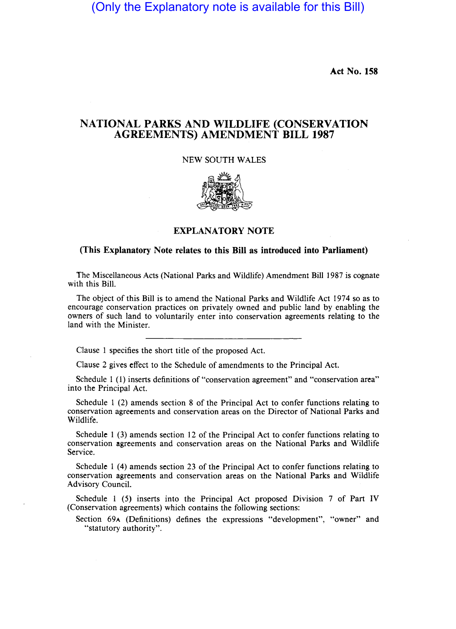(Only the Explanatory note is available for this Bill)

**Act** No. 158

## **NATIONAL PARKS AND WILDLIFE (CONSERVATION AGREEMENTS) AMENDMENT BILL 1987**

## NEW SOUTH WALES



## **EXPLANATORY NOTE**

## **(This Explanatory Note relates to this Bill as introduced into Parliament)**

The Miscellaneous Acts (National Parks and Wildlife) Amendment Bill 1987 is cognate with this Bill.

The object of this Bill is to amend the National Parks and Wildlife Act 1974 so as to encourage conservation practices on privately owned and public land by enabling the owners of such land to voluntarily enter into conservation agreements relating to the land with the Minister.

Clause 1 specifies the short title of the proposed Act.

Clause 2 gives effect to the Schedule of amendments to the Principal ACt.

Schedule 1 (1) inserts definitions of "conservation agreement" and "conservation area" into the Principal Act.

Schedule 1 (2) amends section 8 of the Principal Act to confer functions relating to conservation agreements and conservation areas on the Director of National Parks and Wildlife.

Schedule 1 (3) amends section 12 of the Principal Act to confer functions relating to conservation agreements and conservation areas on the National Parks and Wildlife Service.

Schedule 1 (4) amends section 23 of the Principal Act to confer functions relating to conservation agreements and conservation areas on the National Parks and Wildlife Advisory Council.

Schedule I (5) inserts into the Principal Act proposed Division 7 of Part IV (Conservation agreements) which contains the following sections:

Section 69A (Definitions) defines the expressions "development", "owner" and "statutory authority".